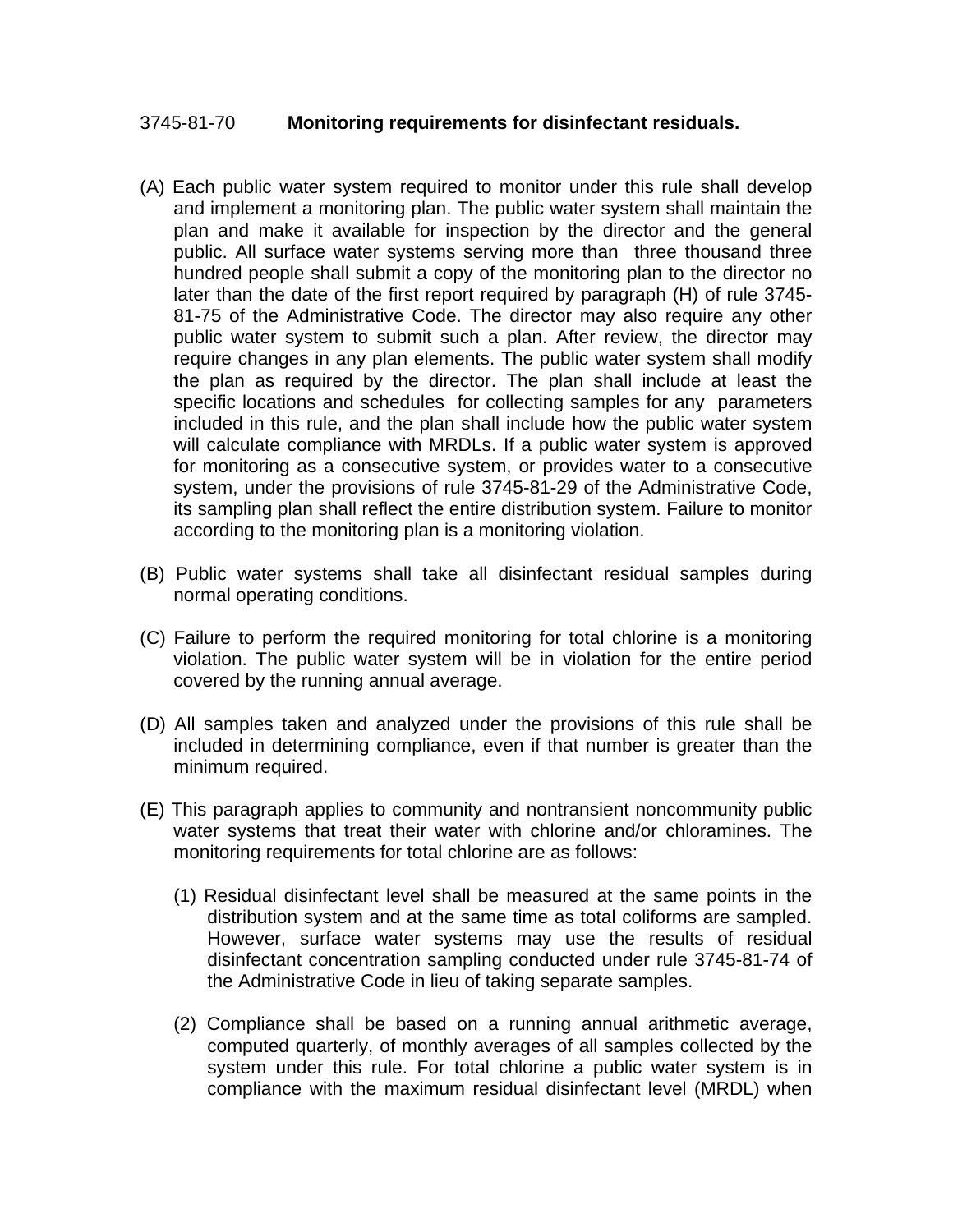## 3745-81-70 **Monitoring requirements for disinfectant residuals.**

- (A) Each public water system required to monitor under this rule shall develop and implement a monitoring plan. The public water system shall maintain the plan and make it available for inspection by the director and the general public. All surface water systems serving more than three thousand three hundred people shall submit a copy of the monitoring plan to the director no later than the date of the first report required by paragraph (H) of rule 3745- 81-75 of the Administrative Code. The director may also require any other public water system to submit such a plan. After review, the director may require changes in any plan elements. The public water system shall modify the plan as required by the director. The plan shall include at least the specific locations and schedules for collecting samples for any parameters included in this rule, and the plan shall include how the public water system will calculate compliance with MRDLs. If a public water system is approved for monitoring as a consecutive system, or provides water to a consecutive system, under the provisions of rule 3745-81-29 of the Administrative Code, its sampling plan shall reflect the entire distribution system. Failure to monitor according to the monitoring plan is a monitoring violation.
- (B) Public water systems shall take all disinfectant residual samples during normal operating conditions.
- (C) Failure to perform the required monitoring for total chlorine is a monitoring violation. The public water system will be in violation for the entire period covered by the running annual average.
- (D) All samples taken and analyzed under the provisions of this rule shall be included in determining compliance, even if that number is greater than the minimum required.
- (E) This paragraph applies to community and nontransient noncommunity public water systems that treat their water with chlorine and/or chloramines. The monitoring requirements for total chlorine are as follows:
	- (1) Residual disinfectant level shall be measured at the same points in the distribution system and at the same time as total coliforms are sampled. However, surface water systems may use the results of residual disinfectant concentration sampling conducted under rule 3745-81-74 of the Administrative Code in lieu of taking separate samples.
	- (2) Compliance shall be based on a running annual arithmetic average, computed quarterly, of monthly averages of all samples collected by the system under this rule. For total chlorine a public water system is in compliance with the maximum residual disinfectant level (MRDL) when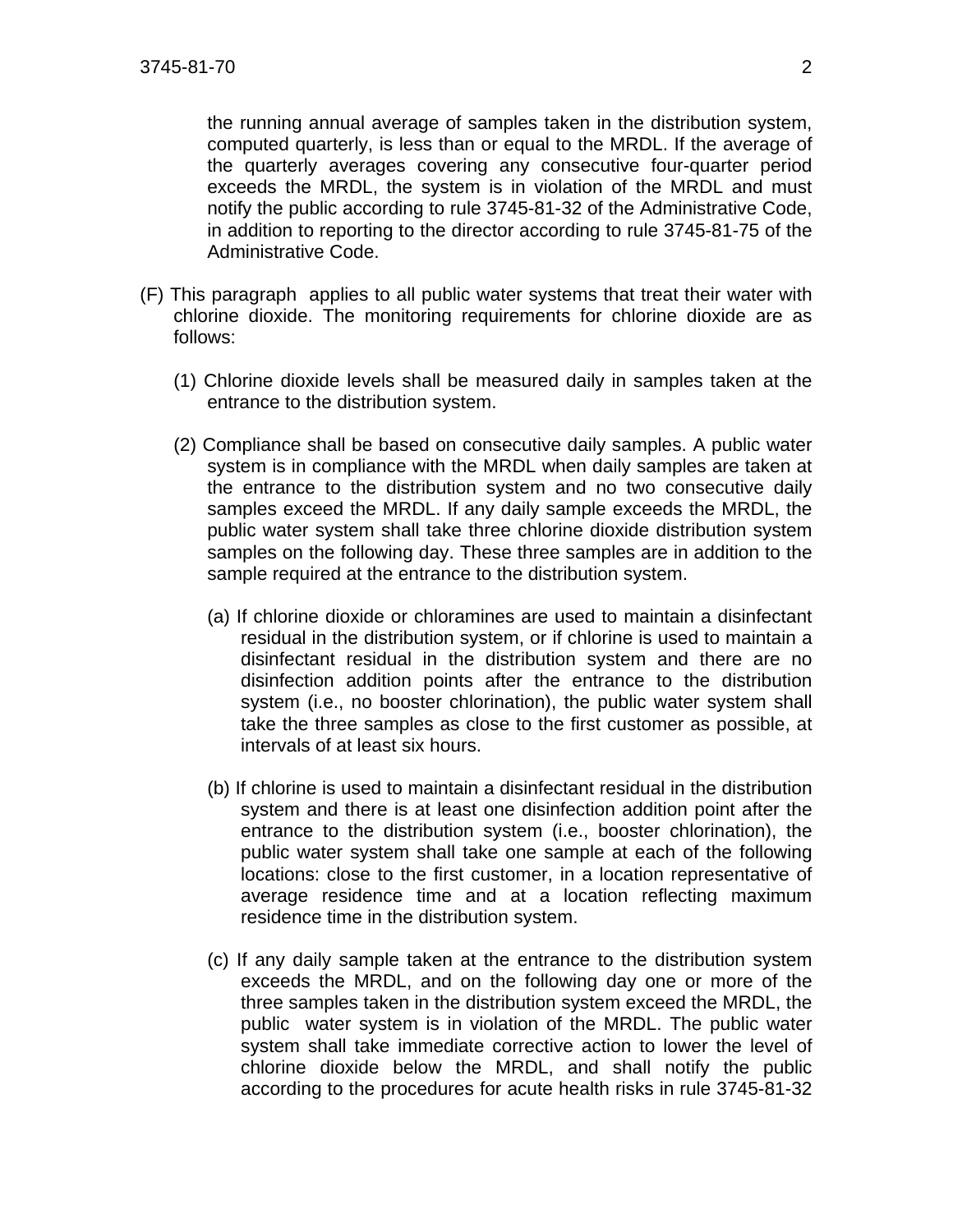the running annual average of samples taken in the distribution system, computed quarterly, is less than or equal to the MRDL. If the average of the quarterly averages covering any consecutive four-quarter period exceeds the MRDL, the system is in violation of the MRDL and must notify the public according to rule 3745-81-32 of the Administrative Code, in addition to reporting to the director according to rule 3745-81-75 of the Administrative Code.

- (F) This paragraph applies to all public water systems that treat their water with chlorine dioxide. The monitoring requirements for chlorine dioxide are as follows:
	- (1) Chlorine dioxide levels shall be measured daily in samples taken at the entrance to the distribution system.
	- (2) Compliance shall be based on consecutive daily samples. A public water system is in compliance with the MRDL when daily samples are taken at the entrance to the distribution system and no two consecutive daily samples exceed the MRDL. If any daily sample exceeds the MRDL, the public water system shall take three chlorine dioxide distribution system samples on the following day. These three samples are in addition to the sample required at the entrance to the distribution system.
		- (a) If chlorine dioxide or chloramines are used to maintain a disinfectant residual in the distribution system, or if chlorine is used to maintain a disinfectant residual in the distribution system and there are no disinfection addition points after the entrance to the distribution system (i.e., no booster chlorination), the public water system shall take the three samples as close to the first customer as possible, at intervals of at least six hours.
		- (b) If chlorine is used to maintain a disinfectant residual in the distribution system and there is at least one disinfection addition point after the entrance to the distribution system (i.e., booster chlorination), the public water system shall take one sample at each of the following locations: close to the first customer, in a location representative of average residence time and at a location reflecting maximum residence time in the distribution system.
		- (c) If any daily sample taken at the entrance to the distribution system exceeds the MRDL, and on the following day one or more of the three samples taken in the distribution system exceed the MRDL, the public water system is in violation of the MRDL. The public water system shall take immediate corrective action to lower the level of chlorine dioxide below the MRDL, and shall notify the public according to the procedures for acute health risks in rule 3745-81-32